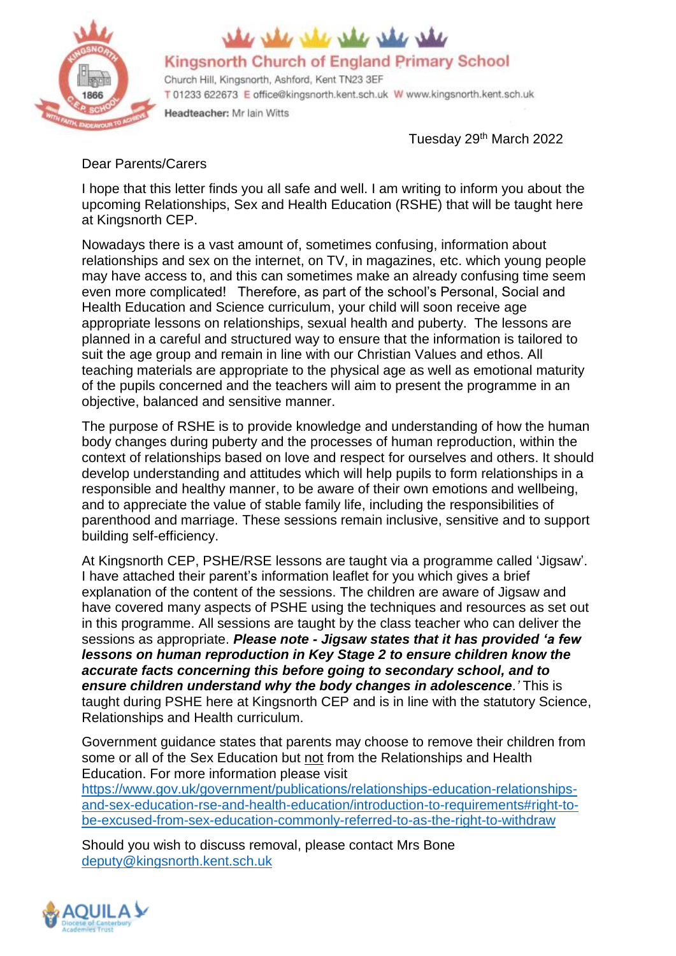

## is she she she is a

Kingsnorth Church of England Primary School

Church Hill, Kingsnorth, Ashford, Kent TN23 3EF T 01233 622673 E office@kingsnorth.kent.sch.uk W www.kingsnorth.kent.sch.uk Headteacher: Mr Iain Witts

Tuesday 29<sup>th</sup> March 2022

## Dear Parents/Carers

I hope that this letter finds you all safe and well. I am writing to inform you about the upcoming Relationships, Sex and Health Education (RSHE) that will be taught here at Kingsnorth CEP.

Nowadays there is a vast amount of, sometimes confusing, information about relationships and sex on the internet, on TV, in magazines, etc. which young people may have access to, and this can sometimes make an already confusing time seem even more complicated! Therefore, as part of the school's Personal, Social and Health Education and Science curriculum, your child will soon receive age appropriate lessons on relationships, sexual health and puberty. The lessons are planned in a careful and structured way to ensure that the information is tailored to suit the age group and remain in line with our Christian Values and ethos. All teaching materials are appropriate to the physical age as well as emotional maturity of the pupils concerned and the teachers will aim to present the programme in an objective, balanced and sensitive manner.

The purpose of RSHE is to provide knowledge and understanding of how the human body changes during puberty and the processes of human reproduction, within the context of relationships based on love and respect for ourselves and others. It should develop understanding and attitudes which will help pupils to form relationships in a responsible and healthy manner, to be aware of their own emotions and wellbeing, and to appreciate the value of stable family life, including the responsibilities of parenthood and marriage. These sessions remain inclusive, sensitive and to support building self-efficiency.

At Kingsnorth CEP, PSHE/RSE lessons are taught via a programme called 'Jigsaw'. I have attached their parent's information leaflet for you which gives a brief explanation of the content of the sessions. The children are aware of Jigsaw and have covered many aspects of PSHE using the techniques and resources as set out in this programme. All sessions are taught by the class teacher who can deliver the sessions as appropriate. *Please note - Jigsaw states that it has provided 'a few lessons on human reproduction in Key Stage 2 to ensure children know the accurate facts concerning this before going to secondary school, and to ensure children understand why the body changes in adolescence.'* This is taught during PSHE here at Kingsnorth CEP and is in line with the statutory Science, Relationships and Health curriculum.

Government guidance states that parents may choose to remove their children from some or all of the Sex Education but not from the Relationships and Health Education. For more information please visit

[https://www.gov.uk/government/publications/relationships-education-relationships](https://www.gov.uk/government/publications/relationships-education-relationships-and-sex-education-rse-and-health-education/introduction-to-requirements%23right-to-be-excused-from-sex-education-commonly-referred-to-as-the-right-to-withdraw)[and-sex-education-rse-and-health-education/introduction-to-requirements#right-to](https://www.gov.uk/government/publications/relationships-education-relationships-and-sex-education-rse-and-health-education/introduction-to-requirements%23right-to-be-excused-from-sex-education-commonly-referred-to-as-the-right-to-withdraw)[be-excused-from-sex-education-commonly-referred-to-as-the-right-to-withdraw](https://www.gov.uk/government/publications/relationships-education-relationships-and-sex-education-rse-and-health-education/introduction-to-requirements%23right-to-be-excused-from-sex-education-commonly-referred-to-as-the-right-to-withdraw)

Should you wish to discuss removal, please contact Mrs Bone [deputy@kingsnorth.kent.sch.uk](mailto:deputy@kingsnorth.kent.sch.uk)